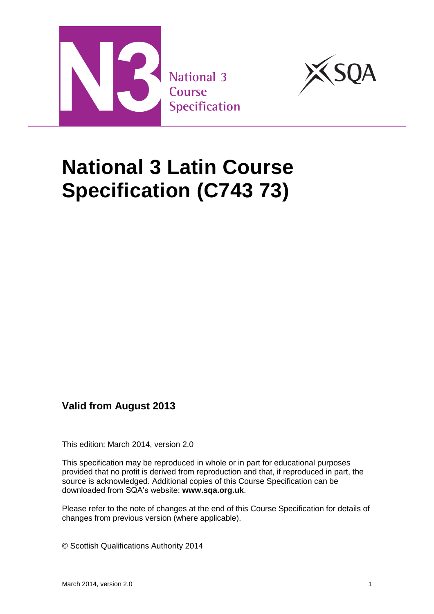



# **National 3 Latin Course Specification (C743 73)**

## **Valid from August 2013**

This edition: March 2014, version 2.0

This specification may be reproduced in whole or in part for educational purposes provided that no profit is derived from reproduction and that, if reproduced in part, the source is acknowledged. Additional copies of this Course Specification can be downloaded from SQA's website: **[www.sqa.org.uk](http://www.sqa.org.uk/)**.

Please refer to the note of changes at the end of this Course Specification for details of changes from previous version (where applicable).

© Scottish Qualifications Authority 2014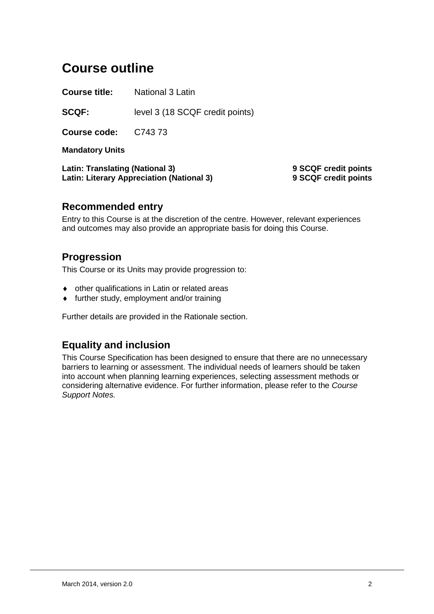## **Course outline**

**Course title:** National 3 Latin

**SCQF:** level 3 (18 SCQF credit points)

**Course code:** C743 73

**Mandatory Units**

**Latin: Translating (National 3) 9 SCQF credit points Latin: Literary Appreciation (National 3) 9 SCQF credit points**

### **Recommended entry**

Entry to this Course is at the discretion of the centre. However, relevant experiences and outcomes may also provide an appropriate basis for doing this Course.

## **Progression**

This Course or its Units may provide progression to:

- other qualifications in Latin or related areas
- further study, employment and/or training

Further details are provided in the Rationale section.

## **Equality and inclusion**

This Course Specification has been designed to ensure that there are no unnecessary barriers to learning or assessment. The individual needs of learners should be taken into account when planning learning experiences, selecting assessment methods or considering alternative evidence. For further information, please refer to the *Course Support Notes.*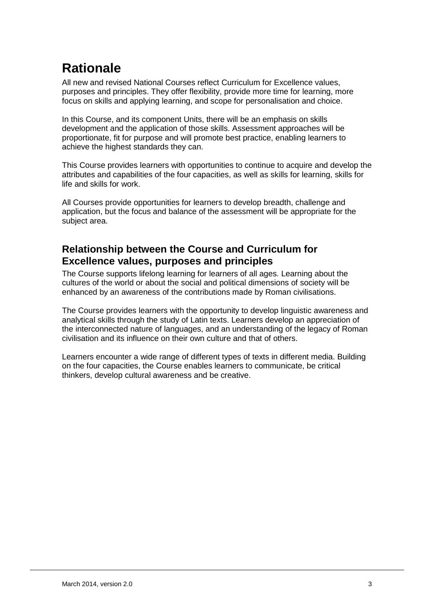## **Rationale**

All new and revised National Courses reflect Curriculum for Excellence values, purposes and principles. They offer flexibility, provide more time for learning, more focus on skills and applying learning, and scope for personalisation and choice.

In this Course, and its component Units, there will be an emphasis on skills development and the application of those skills. Assessment approaches will be proportionate, fit for purpose and will promote best practice, enabling learners to achieve the highest standards they can.

This Course provides learners with opportunities to continue to acquire and develop the attributes and capabilities of the four capacities, as well as skills for learning, skills for life and skills for work.

All Courses provide opportunities for learners to develop breadth, challenge and application, but the focus and balance of the assessment will be appropriate for the subject area.

## **Relationship between the Course and Curriculum for Excellence values, purposes and principles**

The Course supports lifelong learning for learners of all ages. Learning about the cultures of the world or about the social and political dimensions of society will be enhanced by an awareness of the contributions made by Roman civilisations.

The Course provides learners with the opportunity to develop linguistic awareness and analytical skills through the study of Latin texts. Learners develop an appreciation of the interconnected nature of languages, and an understanding of the legacy of Roman civilisation and its influence on their own culture and that of others.

Learners encounter a wide range of different types of texts in different media. Building on the four capacities, the Course enables learners to communicate, be critical thinkers, develop cultural awareness and be creative.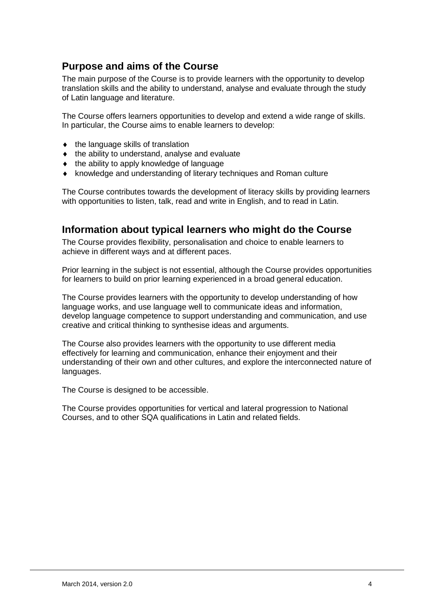## **Purpose and aims of the Course**

The main purpose of the Course is to provide learners with the opportunity to develop translation skills and the ability to understand, analyse and evaluate through the study of Latin language and literature.

The Course offers learners opportunities to develop and extend a wide range of skills. In particular, the Course aims to enable learners to develop:

- $\bullet$  the language skills of translation
- $\bullet$  the ability to understand, analyse and evaluate
- $\bullet$  the ability to apply knowledge of language
- knowledge and understanding of literary techniques and Roman culture

The Course contributes towards the development of literacy skills by providing learners with opportunities to listen, talk, read and write in English, and to read in Latin.

### **Information about typical learners who might do the Course**

The Course provides flexibility, personalisation and choice to enable learners to achieve in different ways and at different paces.

Prior learning in the subject is not essential, although the Course provides opportunities for learners to build on prior learning experienced in a broad general education.

The Course provides learners with the opportunity to develop understanding of how language works, and use language well to communicate ideas and information, develop language competence to support understanding and communication, and use creative and critical thinking to synthesise ideas and arguments.

The Course also provides learners with the opportunity to use different media effectively for learning and communication, enhance their enjoyment and their understanding of their own and other cultures, and explore the interconnected nature of languages.

The Course is designed to be accessible.

The Course provides opportunities for vertical and lateral progression to National Courses, and to other SQA qualifications in Latin and related fields.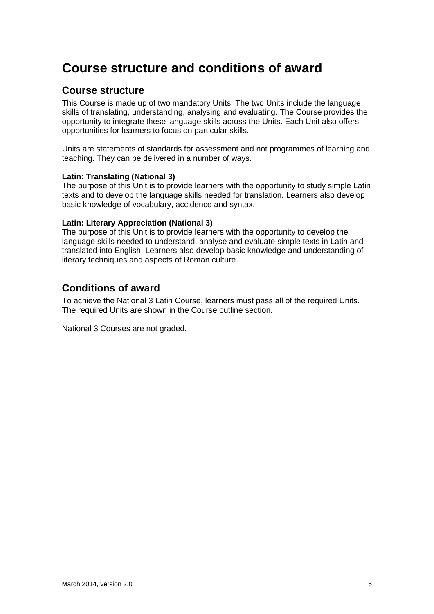## **Course structure and conditions of award**

### **Course structure**

This Course is made up of two mandatory Units. The two Units include the language skills of translating, understanding, analysing and evaluating. The Course provides the opportunity to integrate these language skills across the Units. Each Unit also offers opportunities for learners to focus on particular skills.

Units are statements of standards for assessment and not programmes of learning and teaching. They can be delivered in a number of ways.

#### **Latin: Translating (National 3)**

The purpose of this Unit is to provide learners with the opportunity to study simple Latin texts and to develop the language skills needed for translation. Learners also develop basic knowledge of vocabulary, accidence and syntax.

#### **Latin: Literary Appreciation (National 3)**

The purpose of this Unit is to provide learners with the opportunity to develop the language skills needed to understand, analyse and evaluate simple texts in Latin and translated into English. Learners also develop basic knowledge and understanding of literary techniques and aspects of Roman culture.

### **Conditions of award**

To achieve the National 3 Latin Course, learners must pass all of the required Units. The required Units are shown in the Course outline section.

National 3 Courses are not graded.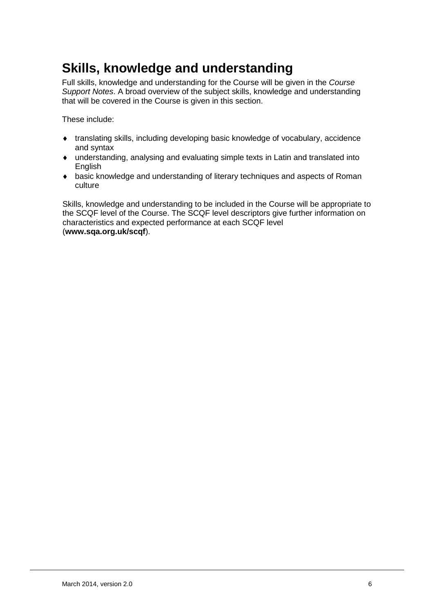## **Skills, knowledge and understanding**

Full skills, knowledge and understanding for the Course will be given in the *Course Support Notes*. A broad overview of the subject skills, knowledge and understanding that will be covered in the Course is given in this section.

These include:

- translating skills, including developing basic knowledge of vocabulary, accidence and syntax
- understanding, analysing and evaluating simple texts in Latin and translated into English
- basic knowledge and understanding of literary techniques and aspects of Roman culture

Skills, knowledge and understanding to be included in the Course will be appropriate to the SCQF level of the Course. The SCQF level descriptors give further information on characteristics and expected performance at each SCQF level (**[www.sqa.org.uk/scqf](http://www.sqa.org.uk/sqa/4595.html)**).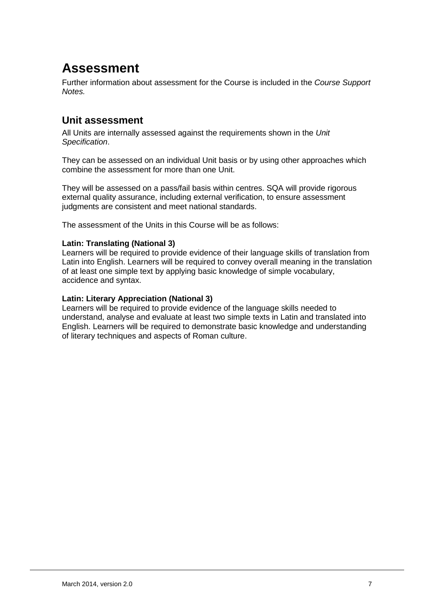## **Assessment**

Further information about assessment for the Course is included in the *Course Support Notes.* 

## **Unit assessment**

All Units are internally assessed against the requirements shown in the *Unit Specification*.

They can be assessed on an individual Unit basis or by using other approaches which combine the assessment for more than one Unit.

They will be assessed on a pass/fail basis within centres. SQA will provide rigorous external quality assurance, including external verification, to ensure assessment judgments are consistent and meet national standards.

The assessment of the Units in this Course will be as follows:

#### **Latin: Translating (National 3)**

Learners will be required to provide evidence of their language skills of translation from Latin into English. Learners will be required to convey overall meaning in the translation of at least one simple text by applying basic knowledge of simple vocabulary, accidence and syntax.

#### **Latin: Literary Appreciation (National 3)**

Learners will be required to provide evidence of the language skills needed to understand, analyse and evaluate at least two simple texts in Latin and translated into English. Learners will be required to demonstrate basic knowledge and understanding of literary techniques and aspects of Roman culture.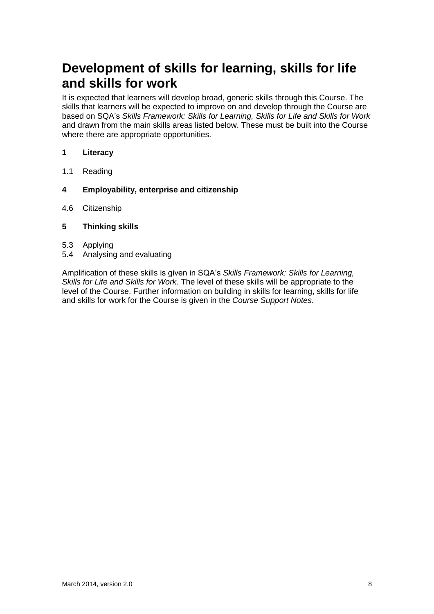## **Development of skills for learning, skills for life and skills for work**

It is expected that learners will develop broad, generic skills through this Course. The skills that learners will be expected to improve on and develop through the Course are based on SQA's *Skills Framework: Skills for Learning, Skills for Life and Skills for Work*  and drawn from the main skills areas listed below. These must be built into the Course where there are appropriate opportunities.

- **1 Literacy**
- 1.1 Reading
- **4 Employability, enterprise and citizenship**
- 4.6 Citizenship
- **5 Thinking skills**
- 5.3 Applying
- 5.4 Analysing and evaluating

Amplification of these skills is given in SQA's *Skills Framework: Skills for Learning, Skills for Life and Skills for Work*. The level of these skills will be appropriate to the level of the Course. Further information on building in skills for learning, skills for life and skills for work for the Course is given in the *Course Support Notes*.